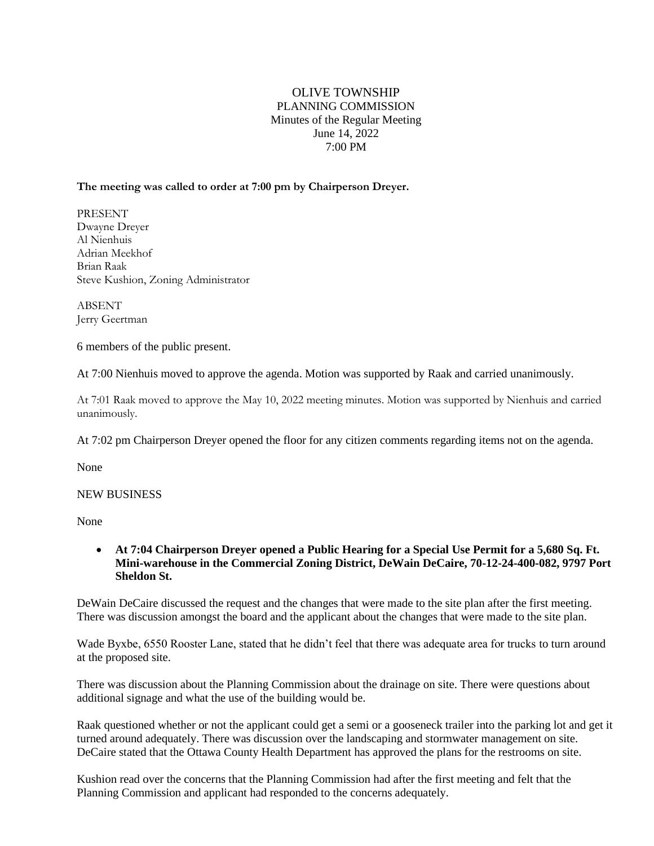## OLIVE TOWNSHIP PLANNING COMMISSION Minutes of the Regular Meeting June 14, 2022 7:00 PM

### **The meeting was called to order at 7:00 pm by Chairperson Dreyer.**

PRESENT Dwayne Dreyer Al Nienhuis Adrian Meekhof Brian Raak Steve Kushion, Zoning Administrator

ABSENT Jerry Geertman

6 members of the public present.

At 7:00 Nienhuis moved to approve the agenda. Motion was supported by Raak and carried unanimously.

At 7:01 Raak moved to approve the May 10, 2022 meeting minutes. Motion was supported by Nienhuis and carried unanimously.

At 7:02 pm Chairperson Dreyer opened the floor for any citizen comments regarding items not on the agenda.

None

#### NEW BUSINESS

None

• **At 7:04 Chairperson Dreyer opened a Public Hearing for a Special Use Permit for a 5,680 Sq. Ft. Mini-warehouse in the Commercial Zoning District, DeWain DeCaire, 70-12-24-400-082, 9797 Port Sheldon St.**

DeWain DeCaire discussed the request and the changes that were made to the site plan after the first meeting. There was discussion amongst the board and the applicant about the changes that were made to the site plan.

Wade Byxbe, 6550 Rooster Lane, stated that he didn't feel that there was adequate area for trucks to turn around at the proposed site.

There was discussion about the Planning Commission about the drainage on site. There were questions about additional signage and what the use of the building would be.

Raak questioned whether or not the applicant could get a semi or a gooseneck trailer into the parking lot and get it turned around adequately. There was discussion over the landscaping and stormwater management on site. DeCaire stated that the Ottawa County Health Department has approved the plans for the restrooms on site.

Kushion read over the concerns that the Planning Commission had after the first meeting and felt that the Planning Commission and applicant had responded to the concerns adequately.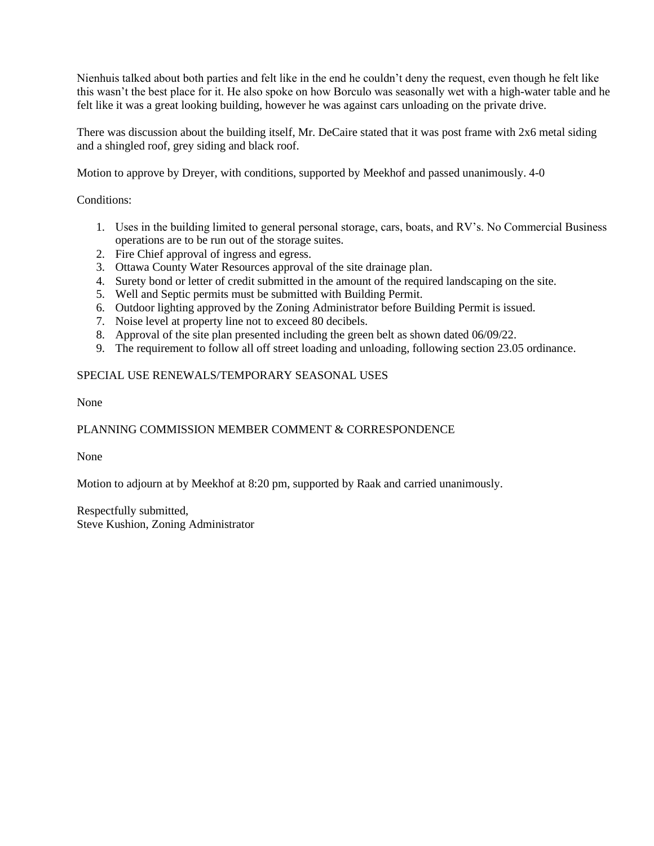Nienhuis talked about both parties and felt like in the end he couldn't deny the request, even though he felt like this wasn't the best place for it. He also spoke on how Borculo was seasonally wet with a high-water table and he felt like it was a great looking building, however he was against cars unloading on the private drive.

There was discussion about the building itself, Mr. DeCaire stated that it was post frame with 2x6 metal siding and a shingled roof, grey siding and black roof.

Motion to approve by Dreyer, with conditions, supported by Meekhof and passed unanimously. 4-0

Conditions:

- 1. Uses in the building limited to general personal storage, cars, boats, and RV's. No Commercial Business operations are to be run out of the storage suites.
- 2. Fire Chief approval of ingress and egress.
- 3. Ottawa County Water Resources approval of the site drainage plan.
- 4. Surety bond or letter of credit submitted in the amount of the required landscaping on the site.
- 5. Well and Septic permits must be submitted with Building Permit.
- 6. Outdoor lighting approved by the Zoning Administrator before Building Permit is issued.
- 7. Noise level at property line not to exceed 80 decibels.
- 8. Approval of the site plan presented including the green belt as shown dated 06/09/22.
- 9. The requirement to follow all off street loading and unloading, following section 23.05 ordinance.

## SPECIAL USE RENEWALS/TEMPORARY SEASONAL USES

None

## PLANNING COMMISSION MEMBER COMMENT & CORRESPONDENCE

None

Motion to adjourn at by Meekhof at 8:20 pm, supported by Raak and carried unanimously.

Respectfully submitted, Steve Kushion, Zoning Administrator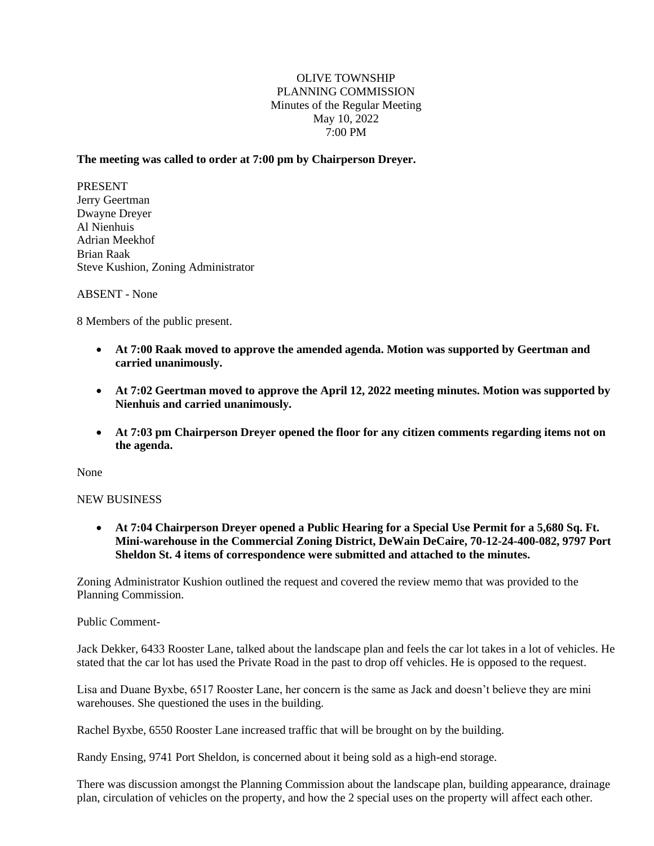## OLIVE TOWNSHIP PLANNING COMMISSION Minutes of the Regular Meeting May 10, 2022 7:00 PM

## **The meeting was called to order at 7:00 pm by Chairperson Dreyer.**

PRESENT Jerry Geertman Dwayne Dreyer Al Nienhuis Adrian Meekhof Brian Raak Steve Kushion, Zoning Administrator

## ABSENT - None

8 Members of the public present.

- **At 7:00 Raak moved to approve the amended agenda. Motion was supported by Geertman and carried unanimously.**
- **At 7:02 Geertman moved to approve the April 12, 2022 meeting minutes. Motion was supported by Nienhuis and carried unanimously.**
- **At 7:03 pm Chairperson Dreyer opened the floor for any citizen comments regarding items not on the agenda.**

None

## NEW BUSINESS

• **At 7:04 Chairperson Dreyer opened a Public Hearing for a Special Use Permit for a 5,680 Sq. Ft. Mini-warehouse in the Commercial Zoning District, DeWain DeCaire, 70-12-24-400-082, 9797 Port Sheldon St. 4 items of correspondence were submitted and attached to the minutes.**

Zoning Administrator Kushion outlined the request and covered the review memo that was provided to the Planning Commission.

#### Public Comment-

Jack Dekker, 6433 Rooster Lane, talked about the landscape plan and feels the car lot takes in a lot of vehicles. He stated that the car lot has used the Private Road in the past to drop off vehicles. He is opposed to the request.

Lisa and Duane Byxbe, 6517 Rooster Lane, her concern is the same as Jack and doesn't believe they are mini warehouses. She questioned the uses in the building.

Rachel Byxbe, 6550 Rooster Lane increased traffic that will be brought on by the building.

Randy Ensing, 9741 Port Sheldon, is concerned about it being sold as a high-end storage.

There was discussion amongst the Planning Commission about the landscape plan, building appearance, drainage plan, circulation of vehicles on the property, and how the 2 special uses on the property will affect each other.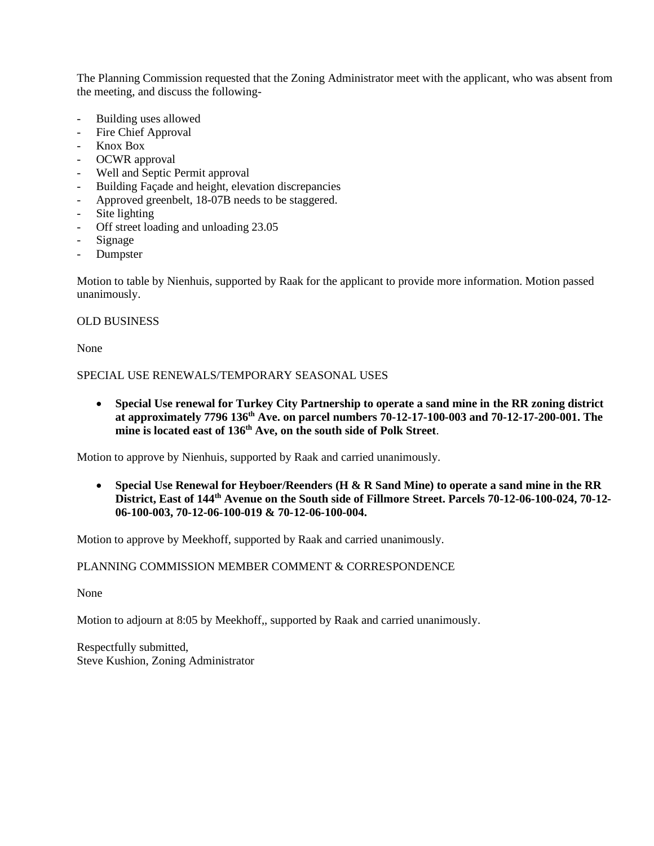The Planning Commission requested that the Zoning Administrator meet with the applicant, who was absent from the meeting, and discuss the following-

- Building uses allowed
- Fire Chief Approval
- Knox Box
- OCWR approval
- Well and Septic Permit approval
- Building Façade and height, elevation discrepancies
- Approved greenbelt, 18-07B needs to be staggered.
- Site lighting
- Off street loading and unloading 23.05
- Signage
- **Dumpster**

Motion to table by Nienhuis, supported by Raak for the applicant to provide more information. Motion passed unanimously.

#### OLD BUSINESS

None

SPECIAL USE RENEWALS/TEMPORARY SEASONAL USES

• **Special Use renewal for Turkey City Partnership to operate a sand mine in the RR zoning district at approximately 7796 136th Ave. on parcel numbers 70-12-17-100-003 and 70-12-17-200-001. The mine is located east of 136th Ave, on the south side of Polk Street**.

Motion to approve by Nienhuis, supported by Raak and carried unanimously.

• **Special Use Renewal for Heyboer/Reenders (H & R Sand Mine) to operate a sand mine in the RR District, East of 144th Avenue on the South side of Fillmore Street. Parcels 70-12-06-100-024, 70-12- 06-100-003, 70-12-06-100-019 & 70-12-06-100-004.**

Motion to approve by Meekhoff, supported by Raak and carried unanimously.

## PLANNING COMMISSION MEMBER COMMENT & CORRESPONDENCE

None

Motion to adjourn at 8:05 by Meekhoff,, supported by Raak and carried unanimously.

Respectfully submitted, Steve Kushion, Zoning Administrator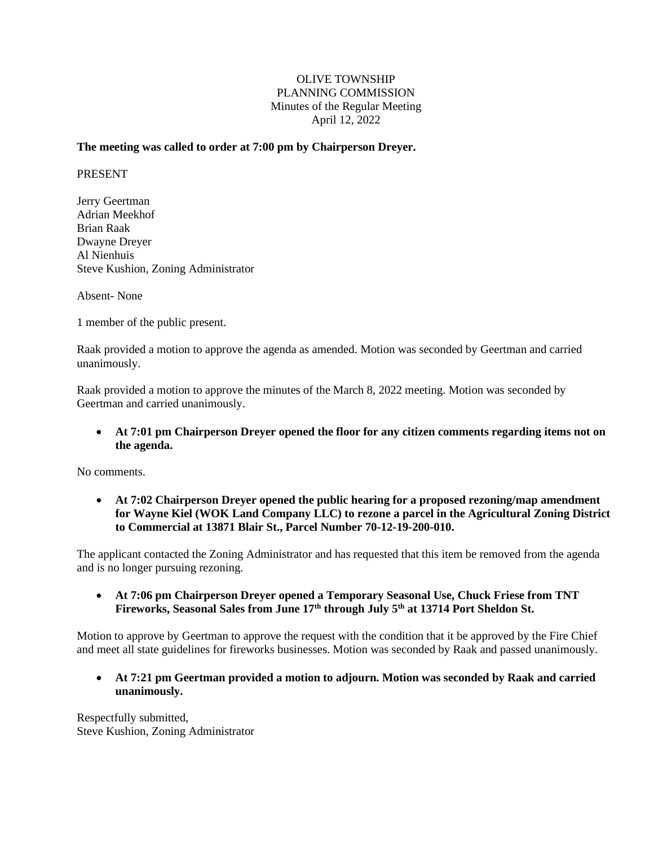## OLIVE TOWNSHIP PLANNING COMMISSION Minutes of the Regular Meeting April 12, 2022

## **The meeting was called to order at 7:00 pm by Chairperson Dreyer.**

#### PRESENT

Jerry Geertman Adrian Meekhof Brian Raak Dwayne Dreyer Al Nienhuis Steve Kushion, Zoning Administrator

Absent- None

1 member of the public present.

Raak provided a motion to approve the agenda as amended. Motion was seconded by Geertman and carried unanimously.

Raak provided a motion to approve the minutes of the March 8, 2022 meeting. Motion was seconded by Geertman and carried unanimously.

• **At 7:01 pm Chairperson Dreyer opened the floor for any citizen comments regarding items not on the agenda.** 

No comments.

• **At 7:02 Chairperson Dreyer opened the public hearing for a proposed rezoning/map amendment for Wayne Kiel (WOK Land Company LLC) to rezone a parcel in the Agricultural Zoning District to Commercial at 13871 Blair St., Parcel Number 70-12-19-200-010.**

The applicant contacted the Zoning Administrator and has requested that this item be removed from the agenda and is no longer pursuing rezoning.

• **At 7:06 pm Chairperson Dreyer opened a Temporary Seasonal Use, Chuck Friese from TNT Fireworks, Seasonal Sales from June 17th through July 5th at 13714 Port Sheldon St.**

Motion to approve by Geertman to approve the request with the condition that it be approved by the Fire Chief and meet all state guidelines for fireworks businesses. Motion was seconded by Raak and passed unanimously.

• **At 7:21 pm Geertman provided a motion to adjourn. Motion was seconded by Raak and carried unanimously.**

Respectfully submitted, Steve Kushion, Zoning Administrator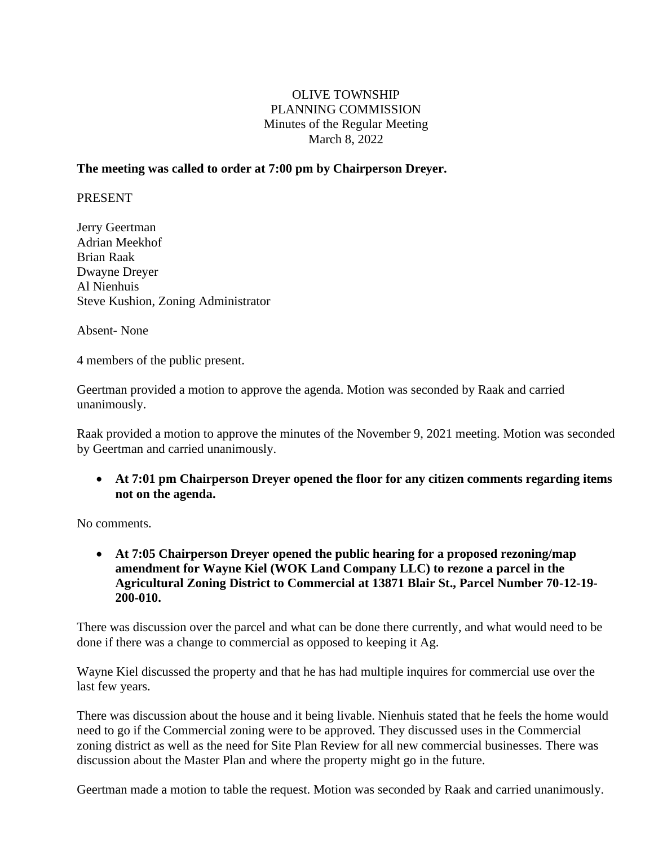# OLIVE TOWNSHIP PLANNING COMMISSION Minutes of the Regular Meeting March 8, 2022

## **The meeting was called to order at 7:00 pm by Chairperson Dreyer.**

PRESENT

Jerry Geertman Adrian Meekhof Brian Raak Dwayne Dreyer Al Nienhuis Steve Kushion, Zoning Administrator

Absent- None

4 members of the public present.

Geertman provided a motion to approve the agenda. Motion was seconded by Raak and carried unanimously.

Raak provided a motion to approve the minutes of the November 9, 2021 meeting. Motion was seconded by Geertman and carried unanimously.

• **At 7:01 pm Chairperson Dreyer opened the floor for any citizen comments regarding items not on the agenda.** 

No comments.

• **At 7:05 Chairperson Dreyer opened the public hearing for a proposed rezoning/map amendment for Wayne Kiel (WOK Land Company LLC) to rezone a parcel in the Agricultural Zoning District to Commercial at 13871 Blair St., Parcel Number 70-12-19- 200-010.**

There was discussion over the parcel and what can be done there currently, and what would need to be done if there was a change to commercial as opposed to keeping it Ag.

Wayne Kiel discussed the property and that he has had multiple inquires for commercial use over the last few years.

There was discussion about the house and it being livable. Nienhuis stated that he feels the home would need to go if the Commercial zoning were to be approved. They discussed uses in the Commercial zoning district as well as the need for Site Plan Review for all new commercial businesses. There was discussion about the Master Plan and where the property might go in the future.

Geertman made a motion to table the request. Motion was seconded by Raak and carried unanimously.